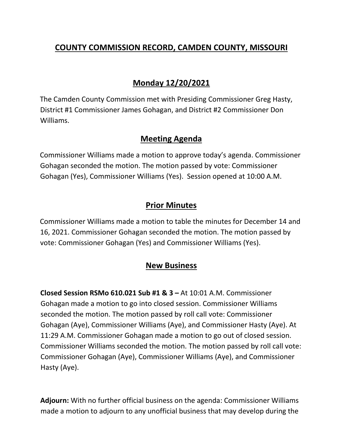## **COUNTY COMMISSION RECORD, CAMDEN COUNTY, MISSOURI**

## **Monday 12/20/2021**

The Camden County Commission met with Presiding Commissioner Greg Hasty, District #1 Commissioner James Gohagan, and District #2 Commissioner Don Williams.

#### **Meeting Agenda**

Commissioner Williams made a motion to approve today's agenda. Commissioner Gohagan seconded the motion. The motion passed by vote: Commissioner Gohagan (Yes), Commissioner Williams (Yes). Session opened at 10:00 A.M.

### **Prior Minutes**

Commissioner Williams made a motion to table the minutes for December 14 and 16, 2021. Commissioner Gohagan seconded the motion. The motion passed by vote: Commissioner Gohagan (Yes) and Commissioner Williams (Yes).

# **New Business**

**Closed Session RSMo 610.021 Sub #1 & 3 –** At 10:01 A.M. Commissioner Gohagan made a motion to go into closed session. Commissioner Williams seconded the motion. The motion passed by roll call vote: Commissioner Gohagan (Aye), Commissioner Williams (Aye), and Commissioner Hasty (Aye). At 11:29 A.M. Commissioner Gohagan made a motion to go out of closed session. Commissioner Williams seconded the motion. The motion passed by roll call vote: Commissioner Gohagan (Aye), Commissioner Williams (Aye), and Commissioner Hasty (Aye).

**Adjourn:** With no further official business on the agenda: Commissioner Williams made a motion to adjourn to any unofficial business that may develop during the